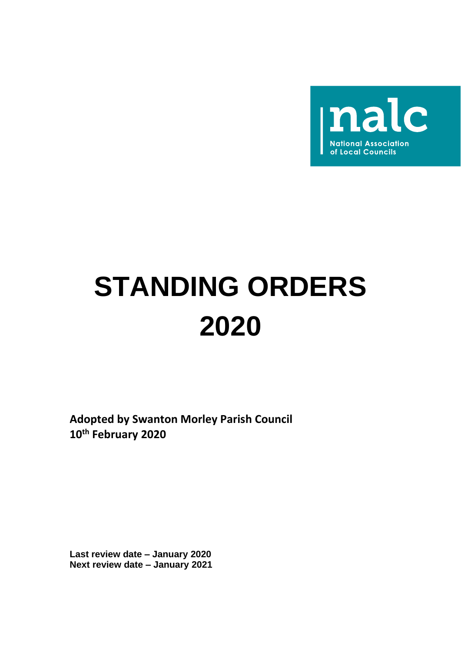

# **STANDING ORDERS 2020**

**Adopted by Swanton Morley Parish Council 10th February 2020**

**Last review date – January 2020 Next review date – January 2021**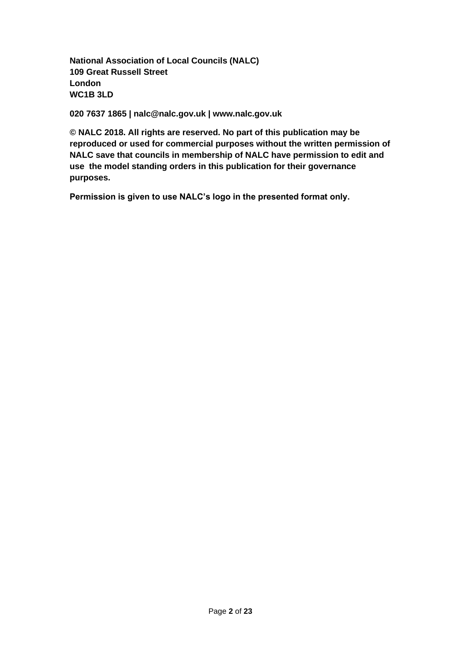**National Association of Local Councils (NALC) 109 Great Russell Street London WC1B 3LD**

**020 7637 1865 | nalc@nalc.gov.uk | www.nalc.gov.uk**

**© NALC 2018. All rights are reserved. No part of this publication may be reproduced or used for commercial purposes without the written permission of NALC save that councils in membership of NALC have permission to edit and use the model standing orders in this publication for their governance purposes.**

**Permission is given to use NALC's logo in the presented format only.**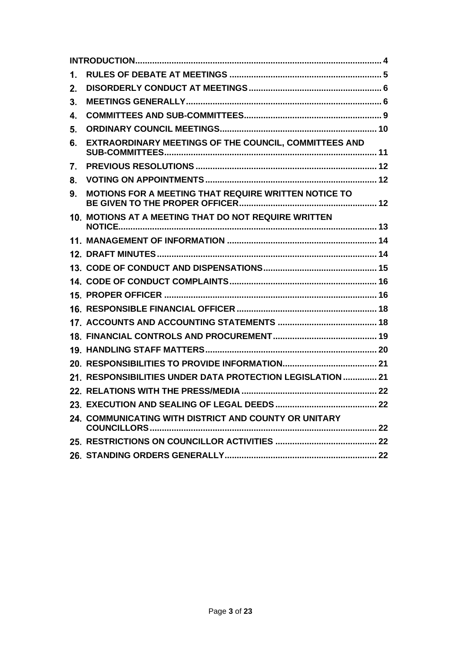| 1. |                                                            |  |
|----|------------------------------------------------------------|--|
| 2. |                                                            |  |
| 3. |                                                            |  |
| 4. |                                                            |  |
| 5. |                                                            |  |
| 6. | EXTRAORDINARY MEETINGS OF THE COUNCIL, COMMITTEES AND      |  |
| 7. |                                                            |  |
| 8. |                                                            |  |
| 9. | MOTIONS FOR A MEETING THAT REQUIRE WRITTEN NOTICE TO       |  |
|    | 10. MOTIONS AT A MEETING THAT DO NOT REQUIRE WRITTEN       |  |
|    |                                                            |  |
|    |                                                            |  |
|    |                                                            |  |
|    |                                                            |  |
|    |                                                            |  |
|    |                                                            |  |
|    |                                                            |  |
|    |                                                            |  |
|    |                                                            |  |
|    |                                                            |  |
|    | 21. RESPONSIBILITIES UNDER DATA PROTECTION LEGISLATION  21 |  |
|    |                                                            |  |
|    |                                                            |  |
|    | 24. COMMUNICATING WITH DISTRICT AND COUNTY OR UNITARY      |  |
|    |                                                            |  |
|    |                                                            |  |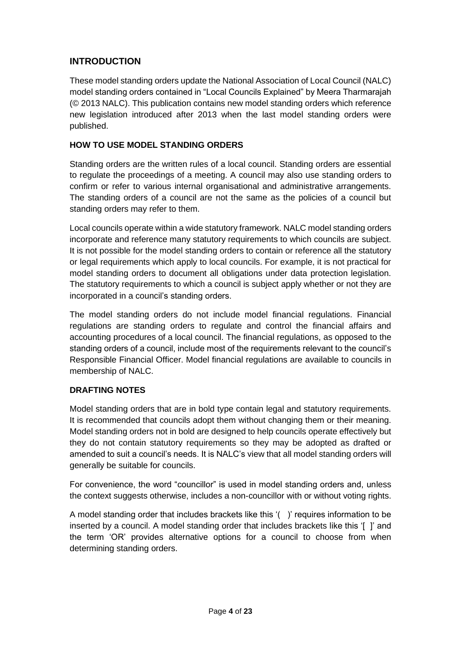# <span id="page-3-0"></span>**INTRODUCTION**

These model standing orders update the National Association of Local Council (NALC) model standing orders contained in "Local Councils Explained" by Meera Tharmarajah (© 2013 NALC). This publication contains new model standing orders which reference new legislation introduced after 2013 when the last model standing orders were published.

# **HOW TO USE MODEL STANDING ORDERS**

Standing orders are the written rules of a local council. Standing orders are essential to regulate the proceedings of a meeting. A council may also use standing orders to confirm or refer to various internal organisational and administrative arrangements. The standing orders of a council are not the same as the policies of a council but standing orders may refer to them.

Local councils operate within a wide statutory framework. NALC model standing orders incorporate and reference many statutory requirements to which councils are subject. It is not possible for the model standing orders to contain or reference all the statutory or legal requirements which apply to local councils. For example, it is not practical for model standing orders to document all obligations under data protection legislation. The statutory requirements to which a council is subject apply whether or not they are incorporated in a council's standing orders.

The model standing orders do not include model financial regulations. Financial regulations are standing orders to regulate and control the financial affairs and accounting procedures of a local council. The financial regulations, as opposed to the standing orders of a council, include most of the requirements relevant to the council's Responsible Financial Officer. Model financial regulations are available to councils in membership of NALC.

## **DRAFTING NOTES**

Model standing orders that are in bold type contain legal and statutory requirements. It is recommended that councils adopt them without changing them or their meaning. Model standing orders not in bold are designed to help councils operate effectively but they do not contain statutory requirements so they may be adopted as drafted or amended to suit a council's needs. It is NALC's view that all model standing orders will generally be suitable for councils.

For convenience, the word "councillor" is used in model standing orders and, unless the context suggests otherwise, includes a non-councillor with or without voting rights.

A model standing order that includes brackets like this '( )' requires information to be inserted by a council. A model standing order that includes brackets like this '[ ]' and the term 'OR' provides alternative options for a council to choose from when determining standing orders.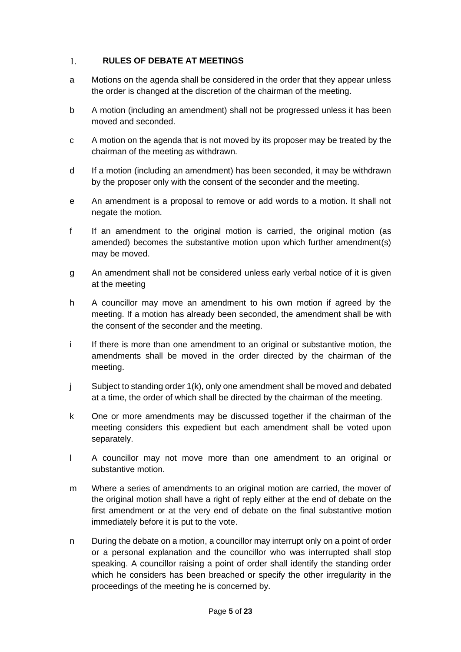#### <span id="page-4-0"></span> $1.$ **RULES OF DEBATE AT MEETINGS**

- a Motions on the agenda shall be considered in the order that they appear unless the order is changed at the discretion of the chairman of the meeting.
- b A motion (including an amendment) shall not be progressed unless it has been moved and seconded.
- c A motion on the agenda that is not moved by its proposer may be treated by the chairman of the meeting as withdrawn.
- d If a motion (including an amendment) has been seconded, it may be withdrawn by the proposer only with the consent of the seconder and the meeting.
- e An amendment is a proposal to remove or add words to a motion. It shall not negate the motion.
- f If an amendment to the original motion is carried, the original motion (as amended) becomes the substantive motion upon which further amendment(s) may be moved.
- g An amendment shall not be considered unless early verbal notice of it is given at the meeting
- h A councillor may move an amendment to his own motion if agreed by the meeting. If a motion has already been seconded, the amendment shall be with the consent of the seconder and the meeting.
- i If there is more than one amendment to an original or substantive motion, the amendments shall be moved in the order directed by the chairman of the meeting.
- j Subject to standing order 1(k), only one amendment shall be moved and debated at a time, the order of which shall be directed by the chairman of the meeting.
- k One or more amendments may be discussed together if the chairman of the meeting considers this expedient but each amendment shall be voted upon separately.
- l A councillor may not move more than one amendment to an original or substantive motion.
- m Where a series of amendments to an original motion are carried, the mover of the original motion shall have a right of reply either at the end of debate on the first amendment or at the very end of debate on the final substantive motion immediately before it is put to the vote.
- n During the debate on a motion, a councillor may interrupt only on a point of order or a personal explanation and the councillor who was interrupted shall stop speaking. A councillor raising a point of order shall identify the standing order which he considers has been breached or specify the other irregularity in the proceedings of the meeting he is concerned by.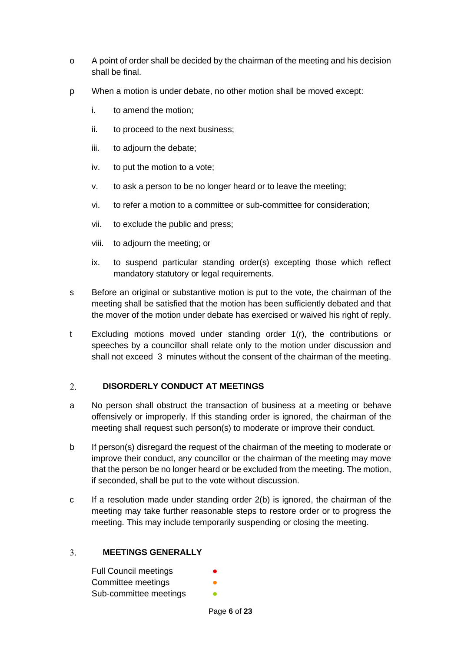- o A point of order shall be decided by the chairman of the meeting and his decision shall be final.
- p When a motion is under debate, no other motion shall be moved except:
	- i. to amend the motion;
	- ii. to proceed to the next business;
	- iii. to adjourn the debate;
	- iv. to put the motion to a vote;
	- v. to ask a person to be no longer heard or to leave the meeting;
	- vi. to refer a motion to a committee or sub-committee for consideration;
	- vii. to exclude the public and press;
	- viii. to adjourn the meeting; or
	- ix. to suspend particular standing order(s) excepting those which reflect mandatory statutory or legal requirements.
- s Before an original or substantive motion is put to the vote, the chairman of the meeting shall be satisfied that the motion has been sufficiently debated and that the mover of the motion under debate has exercised or waived his right of reply.
- t Excluding motions moved under standing order 1(r), the contributions or speeches by a councillor shall relate only to the motion under discussion and shall not exceed 3 minutes without the consent of the chairman of the meeting.

#### <span id="page-5-0"></span> $\overline{2}$ . **DISORDERLY CONDUCT AT MEETINGS**

- a No person shall obstruct the transaction of business at a meeting or behave offensively or improperly. If this standing order is ignored, the chairman of the meeting shall request such person(s) to moderate or improve their conduct.
- b If person(s) disregard the request of the chairman of the meeting to moderate or improve their conduct, any councillor or the chairman of the meeting may move that the person be no longer heard or be excluded from the meeting. The motion, if seconded, shall be put to the vote without discussion.
- c If a resolution made under standing order 2(b) is ignored, the chairman of the meeting may take further reasonable steps to restore order or to progress the meeting. This may include temporarily suspending or closing the meeting.

#### $3<sub>1</sub>$ **MEETINGS GENERALLY**

<span id="page-5-1"></span>

| <b>Full Council meetings</b> | ● |
|------------------------------|---|
| Committee meetings           |   |
| Sub-committee meetings       |   |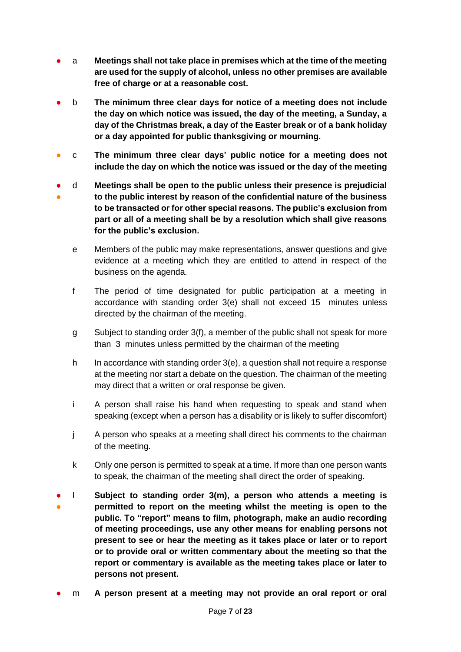- a **Meetings shall not take place in premises which at the time of the meeting are used for the supply of alcohol, unless no other premises are available free of charge or at a reasonable cost.**
- b **The minimum three clear days for notice of a meeting does not include the day on which notice was issued, the day of the meeting, a Sunday, a day of the Christmas break, a day of the Easter break or of a bank holiday or a day appointed for public thanksgiving or mourning.**
- c **The minimum three clear days' public notice for a meeting does not include the day on which the notice was issued or the day of the meeting**
- ● d **Meetings shall be open to the public unless their presence is prejudicial to the public interest by reason of the confidential nature of the business to be transacted or for other special reasons. The public's exclusion from part or all of a meeting shall be by a resolution which shall give reasons for the public's exclusion.**
	- e Members of the public may make representations, answer questions and give evidence at a meeting which they are entitled to attend in respect of the business on the agenda.
	- f The period of time designated for public participation at a meeting in accordance with standing order 3(e) shall not exceed 15 minutes unless directed by the chairman of the meeting.
	- g Subject to standing order 3(f), a member of the public shall not speak for more than 3 minutes unless permitted by the chairman of the meeting
	- h In accordance with standing order 3(e), a question shall not require a response at the meeting nor start a debate on the question. The chairman of the meeting may direct that a written or oral response be given.
	- i A person shall raise his hand when requesting to speak and stand when speaking (except when a person has a disability or is likely to suffer discomfort)
	- j A person who speaks at a meeting shall direct his comments to the chairman of the meeting.
	- k Only one person is permitted to speak at a time. If more than one person wants to speak, the chairman of the meeting shall direct the order of speaking.
- ● l **Subject to standing order 3(m), a person who attends a meeting is permitted to report on the meeting whilst the meeting is open to the public. To "report" means to film, photograph, make an audio recording of meeting proceedings, use any other means for enabling persons not present to see or hear the meeting as it takes place or later or to report or to provide oral or written commentary about the meeting so that the report or commentary is available as the meeting takes place or later to persons not present.**
- m **A** person present at a meeting may not provide an oral report or oral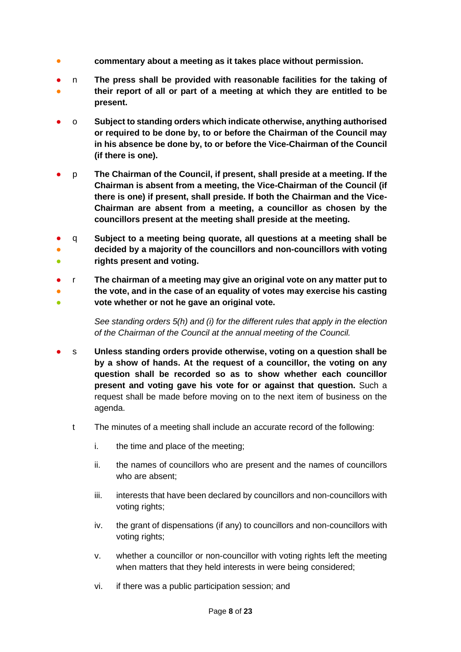- **commentary about a meeting as it takes place without permission.**
- ● n **The press shall be provided with reasonable facilities for the taking of their report of all or part of a meeting at which they are entitled to be present.**
- o **Subject to standing orders which indicate otherwise, anything authorised or required to be done by, to or before the Chairman of the Council may in his absence be done by, to or before the Vice-Chairman of the Council (if there is one).**
- p **The Chairman of the Council, if present, shall preside at a meeting. If the Chairman is absent from a meeting, the Vice-Chairman of the Council (if there is one) if present, shall preside. If both the Chairman and the Vice-Chairman are absent from a meeting, a councillor as chosen by the councillors present at the meeting shall preside at the meeting.**
- ● ● q **Subject to a meeting being quorate, all questions at a meeting shall be decided by a majority of the councillors and non-councillors with voting rights present and voting.**
- ● ● r **The chairman of a meeting may give an original vote on any matter put to the vote, and in the case of an equality of votes may exercise his casting vote whether or not he gave an original vote.**

*See standing orders 5(h) and (i) for the different rules that apply in the election of the Chairman of the Council at the annual meeting of the Council.*

- s **Unless standing orders provide otherwise, voting on a question shall be by a show of hands. At the request of a councillor, the voting on any question shall be recorded so as to show whether each councillor present and voting gave his vote for or against that question.** Such a request shall be made before moving on to the next item of business on the agenda.
	- t The minutes of a meeting shall include an accurate record of the following:
		- i. the time and place of the meeting;
		- ii. the names of councillors who are present and the names of councillors who are absent;
		- iii. interests that have been declared by councillors and non-councillors with voting rights;
		- iv. the grant of dispensations (if any) to councillors and non-councillors with voting rights;
		- v. whether a councillor or non-councillor with voting rights left the meeting when matters that they held interests in were being considered;
		- vi. if there was a public participation session; and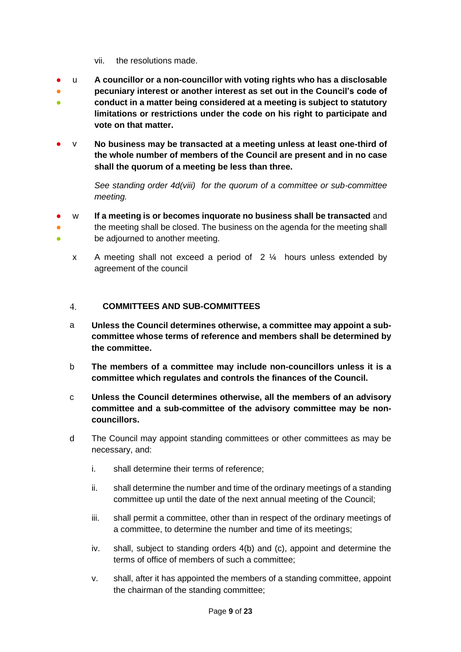- vii. the resolutions made.
- u **A councillor or a non-councillor with voting rights who has a disclosable**
- ● **pecuniary interest or another interest as set out in the Council's code of conduct in a matter being considered at a meeting is subject to statutory limitations or restrictions under the code on his right to participate and vote on that matter.**
- v **No business may be transacted at a meeting unless at least one-third of the whole number of members of the Council are present and in no case shall the quorum of a meeting be less than three.**

*See standing order 4d(viii) for the quorum of a committee or sub-committee meeting.* 

- ● ● w **If a meeting is or becomes inquorate no business shall be transacted** and the meeting shall be closed. The business on the agenda for the meeting shall be adjourned to another meeting.
	- x A meeting shall not exceed a period of 2 ¼ hours unless extended by agreement of the council

#### <span id="page-8-0"></span> $\overline{4}$ . **COMMITTEES AND SUB-COMMITTEES**

- a **Unless the Council determines otherwise, a committee may appoint a subcommittee whose terms of reference and members shall be determined by the committee.**
- b **The members of a committee may include non-councillors unless it is a committee which regulates and controls the finances of the Council.**
- c **Unless the Council determines otherwise, all the members of an advisory committee and a sub-committee of the advisory committee may be noncouncillors.**
- d The Council may appoint standing committees or other committees as may be necessary, and:
	- i. shall determine their terms of reference;
	- ii. shall determine the number and time of the ordinary meetings of a standing committee up until the date of the next annual meeting of the Council;
	- iii. shall permit a committee, other than in respect of the ordinary meetings of a committee, to determine the number and time of its meetings;
	- iv. shall, subject to standing orders 4(b) and (c), appoint and determine the terms of office of members of such a committee;
	- v. shall, after it has appointed the members of a standing committee, appoint the chairman of the standing committee;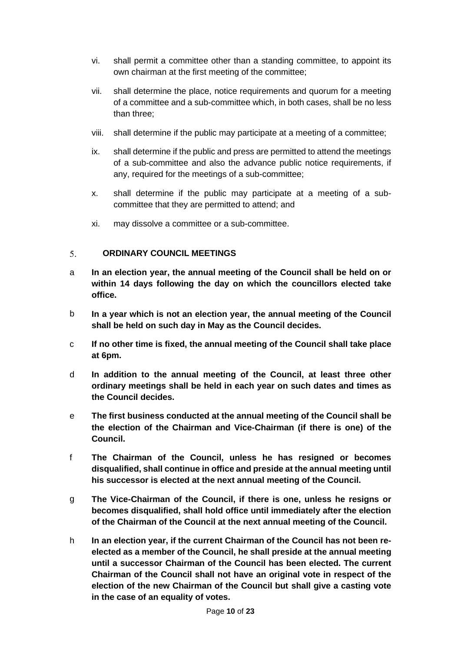- vi. shall permit a committee other than a standing committee, to appoint its own chairman at the first meeting of the committee;
- vii. shall determine the place, notice requirements and quorum for a meeting of a committee and a sub-committee which, in both cases, shall be no less than three;
- viii. shall determine if the public may participate at a meeting of a committee;
- ix. shall determine if the public and press are permitted to attend the meetings of a sub-committee and also the advance public notice requirements, if any, required for the meetings of a sub-committee;
- x. shall determine if the public may participate at a meeting of a subcommittee that they are permitted to attend; and
- xi. may dissolve a committee or a sub-committee.

#### <span id="page-9-0"></span>5. **ORDINARY COUNCIL MEETINGS**

- a **In an election year, the annual meeting of the Council shall be held on or within 14 days following the day on which the councillors elected take office.**
- b **In a year which is not an election year, the annual meeting of the Council shall be held on such day in May as the Council decides.**
- c **If no other time is fixed, the annual meeting of the Council shall take place at 6pm.**
- d **In addition to the annual meeting of the Council, at least three other ordinary meetings shall be held in each year on such dates and times as the Council decides.**
- e **The first business conducted at the annual meeting of the Council shall be the election of the Chairman and Vice-Chairman (if there is one) of the Council.**
- f **The Chairman of the Council, unless he has resigned or becomes disqualified, shall continue in office and preside at the annual meeting until his successor is elected at the next annual meeting of the Council.**
- g **The Vice-Chairman of the Council, if there is one, unless he resigns or becomes disqualified, shall hold office until immediately after the election of the Chairman of the Council at the next annual meeting of the Council.**
- h **In an election year, if the current Chairman of the Council has not been reelected as a member of the Council, he shall preside at the annual meeting until a successor Chairman of the Council has been elected. The current Chairman of the Council shall not have an original vote in respect of the election of the new Chairman of the Council but shall give a casting vote in the case of an equality of votes.**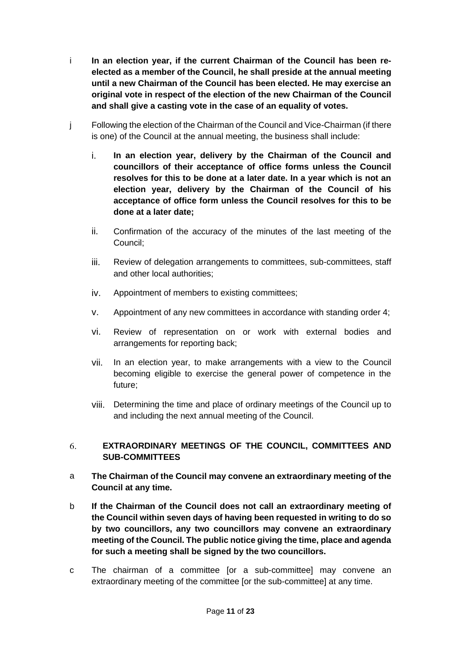- i **In an election year, if the current Chairman of the Council has been reelected as a member of the Council, he shall preside at the annual meeting until a new Chairman of the Council has been elected. He may exercise an original vote in respect of the election of the new Chairman of the Council and shall give a casting vote in the case of an equality of votes.**
- j Following the election of the Chairman of the Council and Vice-Chairman (if there is one) of the Council at the annual meeting, the business shall include:
	- i. **In an election year, delivery by the Chairman of the Council and councillors of their acceptance of office forms unless the Council resolves for this to be done at a later date. In a year which is not an election year, delivery by the Chairman of the Council of his acceptance of office form unless the Council resolves for this to be done at a later date;**
	- ii. Confirmation of the accuracy of the minutes of the last meeting of the Council;
	- iii. Review of delegation arrangements to committees, sub-committees, staff and other local authorities;
	- iv. Appointment of members to existing committees;
	- v. Appointment of any new committees in accordance with standing order 4;
	- vi. Review of representation on or work with external bodies and arrangements for reporting back;
	- vii. In an election year, to make arrangements with a view to the Council becoming eligible to exercise the general power of competence in the future;
	- viii. Determining the time and place of ordinary meetings of the Council up to and including the next annual meeting of the Council.

### <span id="page-10-0"></span>**EXTRAORDINARY MEETINGS OF THE COUNCIL, COMMITTEES AND**  6. **SUB-COMMITTEES**

- a **The Chairman of the Council may convene an extraordinary meeting of the Council at any time.**
- b **If the Chairman of the Council does not call an extraordinary meeting of the Council within seven days of having been requested in writing to do so by two councillors, any two councillors may convene an extraordinary meeting of the Council. The public notice giving the time, place and agenda for such a meeting shall be signed by the two councillors.**
- c The chairman of a committee [or a sub-committee] may convene an extraordinary meeting of the committee [or the sub-committee] at any time.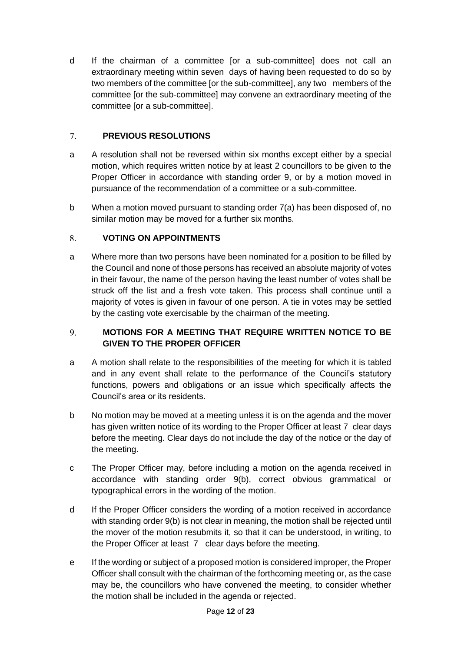d If the chairman of a committee [or a sub-committee] does not call an extraordinary meeting within seven days of having been requested to do so by two members of the committee [or the sub-committee], any two members of the committee [or the sub-committee] may convene an extraordinary meeting of the committee [or a sub-committee].

#### <span id="page-11-0"></span> $7.$ **PREVIOUS RESOLUTIONS**

- a A resolution shall not be reversed within six months except either by a special motion, which requires written notice by at least 2 councillors to be given to the Proper Officer in accordance with standing order 9, or by a motion moved in pursuance of the recommendation of a committee or a sub-committee.
- b When a motion moved pursuant to standing order 7(a) has been disposed of, no similar motion may be moved for a further six months.

#### <span id="page-11-1"></span>8. **VOTING ON APPOINTMENTS**

a Where more than two persons have been nominated for a position to be filled by the Council and none of those persons has received an absolute majority of votes in their favour, the name of the person having the least number of votes shall be struck off the list and a fresh vote taken. This process shall continue until a majority of votes is given in favour of one person. A tie in votes may be settled by the casting vote exercisable by the chairman of the meeting.

## <span id="page-11-2"></span> $9<sub>1</sub>$ **MOTIONS FOR A MEETING THAT REQUIRE WRITTEN NOTICE TO BE GIVEN TO THE PROPER OFFICER**

- a A motion shall relate to the responsibilities of the meeting for which it is tabled and in any event shall relate to the performance of the Council's statutory functions, powers and obligations or an issue which specifically affects the Council's area or its residents.
- b No motion may be moved at a meeting unless it is on the agenda and the mover has given written notice of its wording to the Proper Officer at least 7 clear days before the meeting. Clear days do not include the day of the notice or the day of the meeting.
- c The Proper Officer may, before including a motion on the agenda received in accordance with standing order 9(b), correct obvious grammatical or typographical errors in the wording of the motion.
- d If the Proper Officer considers the wording of a motion received in accordance with standing order 9(b) is not clear in meaning, the motion shall be rejected until the mover of the motion resubmits it, so that it can be understood, in writing, to the Proper Officer at least 7 clear days before the meeting.
- e If the wording or subject of a proposed motion is considered improper, the Proper Officer shall consult with the chairman of the forthcoming meeting or, as the case may be, the councillors who have convened the meeting, to consider whether the motion shall be included in the agenda or rejected.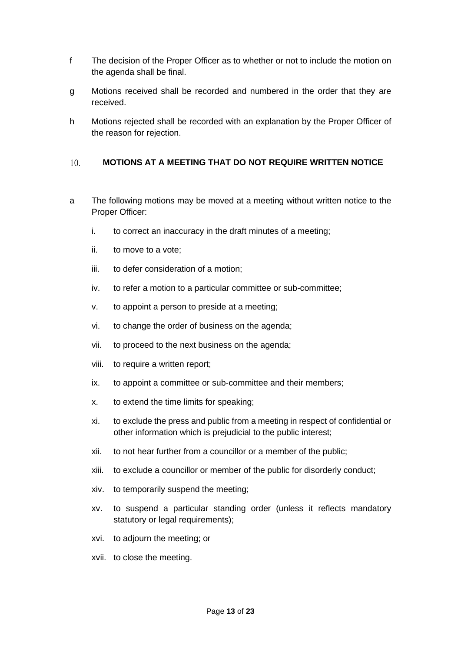- f The decision of the Proper Officer as to whether or not to include the motion on the agenda shall be final.
- g Motions received shall be recorded and numbered in the order that they are received.
- h Motions rejected shall be recorded with an explanation by the Proper Officer of the reason for rejection.

#### <span id="page-12-0"></span>10. **MOTIONS AT A MEETING THAT DO NOT REQUIRE WRITTEN NOTICE**

- a The following motions may be moved at a meeting without written notice to the Proper Officer:
	- i. to correct an inaccuracy in the draft minutes of a meeting;
	- ii. to move to a vote;
	- iii. to defer consideration of a motion;
	- iv. to refer a motion to a particular committee or sub-committee;
	- v. to appoint a person to preside at a meeting;
	- vi. to change the order of business on the agenda;
	- vii. to proceed to the next business on the agenda;
	- viii. to require a written report;
	- ix. to appoint a committee or sub-committee and their members;
	- x. to extend the time limits for speaking;
	- xi. to exclude the press and public from a meeting in respect of confidential or other information which is prejudicial to the public interest;
	- xii. to not hear further from a councillor or a member of the public;
	- xiii. to exclude a councillor or member of the public for disorderly conduct;
	- xiv. to temporarily suspend the meeting;
	- xv. to suspend a particular standing order (unless it reflects mandatory statutory or legal requirements);
	- xvi. to adjourn the meeting; or
	- xvii. to close the meeting.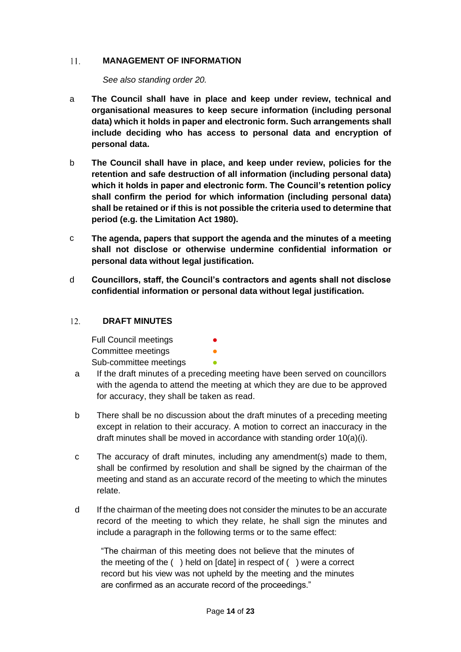#### 11. **MANAGEMENT OF INFORMATION**

<span id="page-13-0"></span>*See also standing order 20.*

- a **The Council shall have in place and keep under review, technical and organisational measures to keep secure information (including personal data) which it holds in paper and electronic form. Such arrangements shall include deciding who has access to personal data and encryption of personal data.**
- b **The Council shall have in place, and keep under review, policies for the retention and safe destruction of all information (including personal data) which it holds in paper and electronic form. The Council's retention policy shall confirm the period for which information (including personal data) shall be retained or if this is not possible the criteria used to determine that period (e.g. the Limitation Act 1980).**
- c **The agenda, papers that support the agenda and the minutes of a meeting shall not disclose or otherwise undermine confidential information or personal data without legal justification.**
- d **Councillors, staff, the Council's contractors and agents shall not disclose confidential information or personal data without legal justification.**

#### $12.$ **DRAFT MINUTES**

<span id="page-13-1"></span>Full Council meetings **•** Committee meetings **•** Sub-committee meetings

- a If the draft minutes of a preceding meeting have been served on councillors with the agenda to attend the meeting at which they are due to be approved for accuracy, they shall be taken as read.
- b There shall be no discussion about the draft minutes of a preceding meeting except in relation to their accuracy. A motion to correct an inaccuracy in the draft minutes shall be moved in accordance with standing order 10(a)(i).
- c The accuracy of draft minutes, including any amendment(s) made to them, shall be confirmed by resolution and shall be signed by the chairman of the meeting and stand as an accurate record of the meeting to which the minutes relate.
- d If the chairman of the meeting does not consider the minutes to be an accurate record of the meeting to which they relate, he shall sign the minutes and include a paragraph in the following terms or to the same effect:

"The chairman of this meeting does not believe that the minutes of the meeting of the ( ) held on [date] in respect of ( ) were a correct record but his view was not upheld by the meeting and the minutes are confirmed as an accurate record of the proceedings."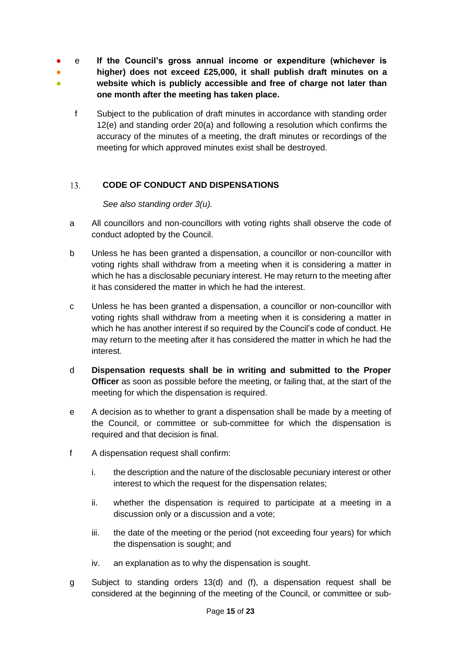- e **If the Council's gross annual income or expenditure (whichever is**
- ● **higher) does not exceed £25,000, it shall publish draft minutes on a website which is publicly accessible and free of charge not later than one month after the meeting has taken place.**
	- f Subject to the publication of draft minutes in accordance with standing order 12(e) and standing order 20(a) and following a resolution which confirms the accuracy of the minutes of a meeting, the draft minutes or recordings of the meeting for which approved minutes exist shall be destroyed.

#### <span id="page-14-0"></span> $13.$ **CODE OF CONDUCT AND DISPENSATIONS**

*See also standing order 3(u).*

- a All councillors and non-councillors with voting rights shall observe the code of conduct adopted by the Council.
- b Unless he has been granted a dispensation, a councillor or non-councillor with voting rights shall withdraw from a meeting when it is considering a matter in which he has a disclosable pecuniary interest. He may return to the meeting after it has considered the matter in which he had the interest.
- c Unless he has been granted a dispensation, a councillor or non-councillor with voting rights shall withdraw from a meeting when it is considering a matter in which he has another interest if so required by the Council's code of conduct. He may return to the meeting after it has considered the matter in which he had the interest.
- d **Dispensation requests shall be in writing and submitted to the Proper Officer** as soon as possible before the meeting, or failing that, at the start of the meeting for which the dispensation is required.
- e A decision as to whether to grant a dispensation shall be made by a meeting of the Council, or committee or sub-committee for which the dispensation is required and that decision is final.
- f A dispensation request shall confirm:
	- i. the description and the nature of the disclosable pecuniary interest or other interest to which the request for the dispensation relates;
	- ii. whether the dispensation is required to participate at a meeting in a discussion only or a discussion and a vote;
	- iii. the date of the meeting or the period (not exceeding four years) for which the dispensation is sought; and
	- iv. an explanation as to why the dispensation is sought.
- g Subject to standing orders 13(d) and (f), a dispensation request shall be considered at the beginning of the meeting of the Council, or committee or sub-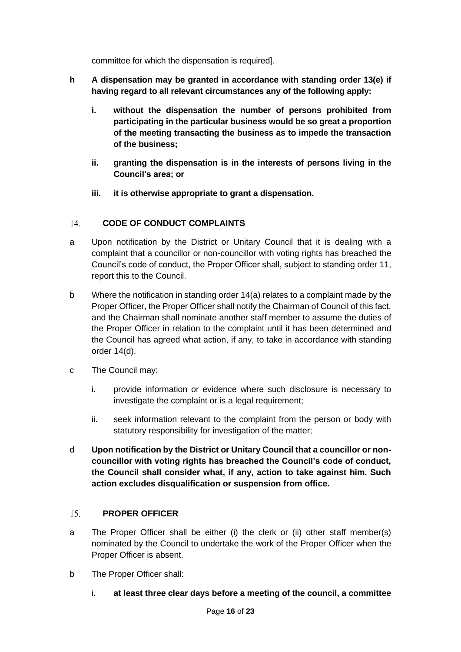committee for which the dispensation is required].

- **h A dispensation may be granted in accordance with standing order 13(e) if having regard to all relevant circumstances any of the following apply:**
	- **i. without the dispensation the number of persons prohibited from participating in the particular business would be so great a proportion of the meeting transacting the business as to impede the transaction of the business;**
	- **ii. granting the dispensation is in the interests of persons living in the Council's area; or**
	- **iii. it is otherwise appropriate to grant a dispensation.**

#### <span id="page-15-0"></span>14. **CODE OF CONDUCT COMPLAINTS**

- a Upon notification by the District or Unitary Council that it is dealing with a complaint that a councillor or non-councillor with voting rights has breached the Council's code of conduct, the Proper Officer shall, subject to standing order 11, report this to the Council.
- b Where the notification in standing order 14(a) relates to a complaint made by the Proper Officer, the Proper Officer shall notify the Chairman of Council of this fact, and the Chairman shall nominate another staff member to assume the duties of the Proper Officer in relation to the complaint until it has been determined and the Council has agreed what action, if any, to take in accordance with standing order 14(d).
- c The Council may:
	- i. provide information or evidence where such disclosure is necessary to investigate the complaint or is a legal requirement;
	- ii. seek information relevant to the complaint from the person or body with statutory responsibility for investigation of the matter;
- d **Upon notification by the District or Unitary Council that a councillor or noncouncillor with voting rights has breached the Council's code of conduct, the Council shall consider what, if any, action to take against him. Such action excludes disqualification or suspension from office.**

#### <span id="page-15-1"></span> $15.$ **PROPER OFFICER**

- a The Proper Officer shall be either (i) the clerk or (ii) other staff member(s) nominated by the Council to undertake the work of the Proper Officer when the Proper Officer is absent.
- b The Proper Officer shall:
	- i. **at least three clear days before a meeting of the council, a committee**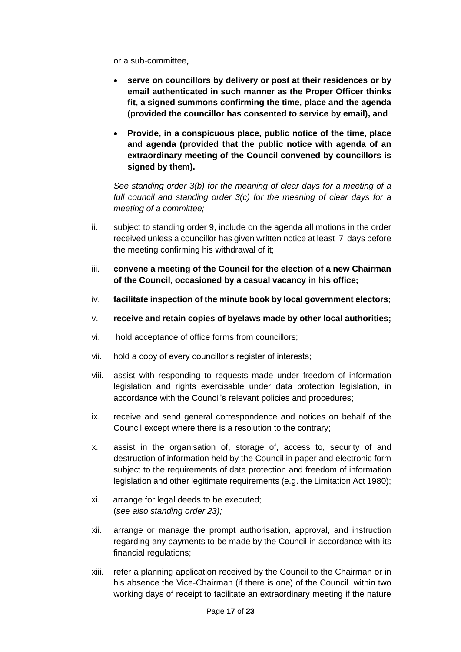or a sub-committee**,**

- **serve on councillors by delivery or post at their residences or by email authenticated in such manner as the Proper Officer thinks fit, a signed summons confirming the time, place and the agenda (provided the councillor has consented to service by email), and**
- **Provide, in a conspicuous place, public notice of the time, place and agenda (provided that the public notice with agenda of an extraordinary meeting of the Council convened by councillors is signed by them).**

*See standing order 3(b) for the meaning of clear days for a meeting of a full council and standing order 3(c) for the meaning of clear days for a meeting of a committee;*

- ii. subject to standing order 9, include on the agenda all motions in the order received unless a councillor has given written notice at least 7 days before the meeting confirming his withdrawal of it;
- iii. **convene a meeting of the Council for the election of a new Chairman of the Council, occasioned by a casual vacancy in his office;**
- iv. **facilitate inspection of the minute book by local government electors;**
- v. **receive and retain copies of byelaws made by other local authorities;**
- vi. hold acceptance of office forms from councillors;
- vii. hold a copy of every councillor's register of interests;
- viii. assist with responding to requests made under freedom of information legislation and rights exercisable under data protection legislation, in accordance with the Council's relevant policies and procedures;
- ix. receive and send general correspondence and notices on behalf of the Council except where there is a resolution to the contrary;
- x. assist in the organisation of, storage of, access to, security of and destruction of information held by the Council in paper and electronic form subject to the requirements of data protection and freedom of information legislation and other legitimate requirements (e.g. the Limitation Act 1980);
- xi. arrange for legal deeds to be executed; (*see also standing order 23);*
- xii. arrange or manage the prompt authorisation, approval, and instruction regarding any payments to be made by the Council in accordance with its financial regulations;
- xiii. refer a planning application received by the Council to the Chairman or in his absence the Vice-Chairman (if there is one) of the Council within two working days of receipt to facilitate an extraordinary meeting if the nature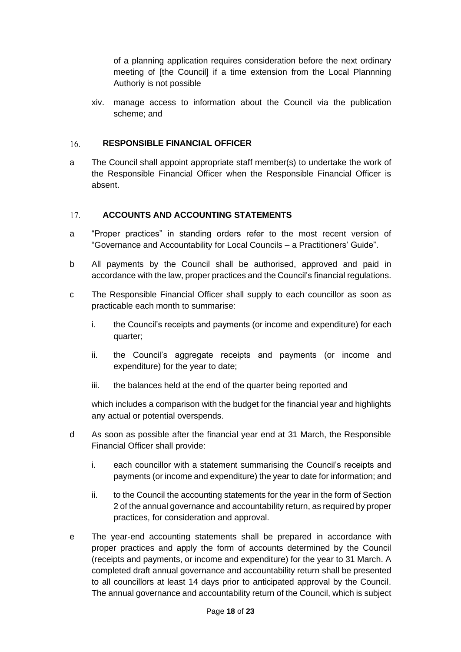of a planning application requires consideration before the next ordinary meeting of [the Council] if a time extension from the Local Plannning Authoriy is not possible

<span id="page-17-0"></span>xiv. manage access to information about the Council via the publication scheme; and

#### $16.$ **RESPONSIBLE FINANCIAL OFFICER**

a The Council shall appoint appropriate staff member(s) to undertake the work of the Responsible Financial Officer when the Responsible Financial Officer is absent.

#### <span id="page-17-1"></span> $17.$ **ACCOUNTS AND ACCOUNTING STATEMENTS**

- a "Proper practices" in standing orders refer to the most recent version of "Governance and Accountability for Local Councils – a Practitioners' Guide".
- b All payments by the Council shall be authorised, approved and paid in accordance with the law, proper practices and the Council's financial regulations.
- c The Responsible Financial Officer shall supply to each councillor as soon as practicable each month to summarise:
	- i. the Council's receipts and payments (or income and expenditure) for each quarter;
	- ii. the Council's aggregate receipts and payments (or income and expenditure) for the year to date;
	- iii. the balances held at the end of the quarter being reported and

which includes a comparison with the budget for the financial year and highlights any actual or potential overspends.

- d As soon as possible after the financial year end at 31 March, the Responsible Financial Officer shall provide:
	- i. each councillor with a statement summarising the Council's receipts and payments (or income and expenditure) the year to date for information; and
	- ii. to the Council the accounting statements for the year in the form of Section 2 of the annual governance and accountability return, as required by proper practices, for consideration and approval.
- e The year-end accounting statements shall be prepared in accordance with proper practices and apply the form of accounts determined by the Council (receipts and payments, or income and expenditure) for the year to 31 March. A completed draft annual governance and accountability return shall be presented to all councillors at least 14 days prior to anticipated approval by the Council. The annual governance and accountability return of the Council, which is subject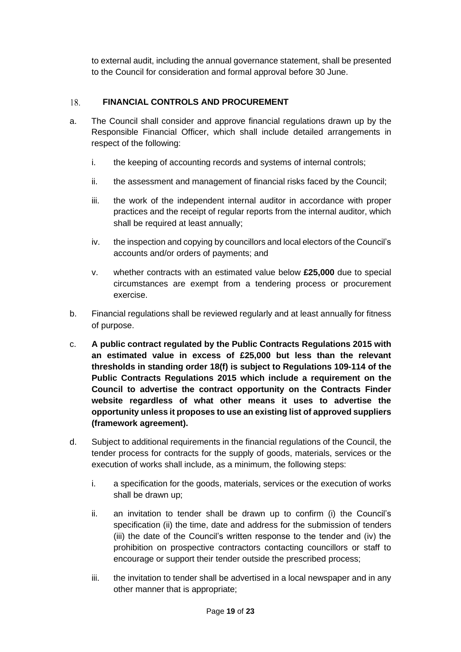<span id="page-18-0"></span>to external audit, including the annual governance statement, shall be presented to the Council for consideration and formal approval before 30 June.

#### **FINANCIAL CONTROLS AND PROCUREMENT** 18.

- a. The Council shall consider and approve financial regulations drawn up by the Responsible Financial Officer, which shall include detailed arrangements in respect of the following:
	- i. the keeping of accounting records and systems of internal controls;
	- ii. the assessment and management of financial risks faced by the Council;
	- iii. the work of the independent internal auditor in accordance with proper practices and the receipt of regular reports from the internal auditor, which shall be required at least annually;
	- iv. the inspection and copying by councillors and local electors of the Council's accounts and/or orders of payments; and
	- v. whether contracts with an estimated value below **£25,000** due to special circumstances are exempt from a tendering process or procurement exercise.
- b. Financial regulations shall be reviewed regularly and at least annually for fitness of purpose.
- c. **A public contract regulated by the Public Contracts Regulations 2015 with an estimated value in excess of £25,000 but less than the relevant thresholds in standing order 18(f) is subject to Regulations 109-114 of the Public Contracts Regulations 2015 which include a requirement on the Council to advertise the contract opportunity on the Contracts Finder website regardless of what other means it uses to advertise the opportunity unless it proposes to use an existing list of approved suppliers (framework agreement).**
- d. Subject to additional requirements in the financial regulations of the Council, the tender process for contracts for the supply of goods, materials, services or the execution of works shall include, as a minimum, the following steps:
	- i. a specification for the goods, materials, services or the execution of works shall be drawn up;
	- ii. an invitation to tender shall be drawn up to confirm (i) the Council's specification (ii) the time, date and address for the submission of tenders (iii) the date of the Council's written response to the tender and (iv) the prohibition on prospective contractors contacting councillors or staff to encourage or support their tender outside the prescribed process;
	- iii. the invitation to tender shall be advertised in a local newspaper and in any other manner that is appropriate;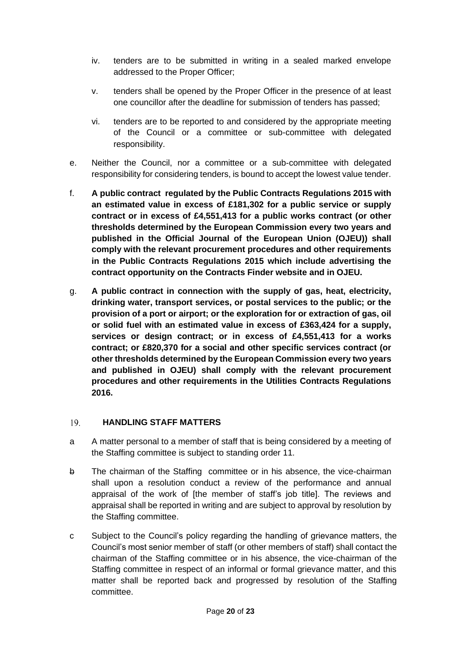- iv. tenders are to be submitted in writing in a sealed marked envelope addressed to the Proper Officer;
- v. tenders shall be opened by the Proper Officer in the presence of at least one councillor after the deadline for submission of tenders has passed;
- vi. tenders are to be reported to and considered by the appropriate meeting of the Council or a committee or sub-committee with delegated responsibility.
- e. Neither the Council, nor a committee or a sub-committee with delegated responsibility for considering tenders, is bound to accept the lowest value tender.
- f. **A public contract regulated by the Public Contracts Regulations 2015 with an estimated value in excess of £181,302 for a public service or supply contract or in excess of £4,551,413 for a public works contract (or other thresholds determined by the European Commission every two years and published in the Official Journal of the European Union (OJEU)) shall comply with the relevant procurement procedures and other requirements in the Public Contracts Regulations 2015 which include advertising the contract opportunity on the Contracts Finder website and in OJEU.**
- g. **A public contract in connection with the supply of gas, heat, electricity, drinking water, transport services, or postal services to the public; or the provision of a port or airport; or the exploration for or extraction of gas, oil or solid fuel with an estimated value in excess of £363,424 for a supply, services or design contract; or in excess of £4,551,413 for a works contract; or £820,370 for a social and other specific services contract (or other thresholds determined by the European Commission every two years and published in OJEU) shall comply with the relevant procurement procedures and other requirements in the Utilities Contracts Regulations 2016.**

#### <span id="page-19-0"></span>19. **HANDLING STAFF MATTERS**

- a A matter personal to a member of staff that is being considered by a meeting of the Staffing committee is subject to standing order 11.
- b The chairman of the Staffing committee or in his absence, the vice-chairman shall upon a resolution conduct a review of the performance and annual appraisal of the work of [the member of staff's job title]. The reviews and appraisal shall be reported in writing and are subject to approval by resolution by the Staffing committee.
- c Subject to the Council's policy regarding the handling of grievance matters, the Council's most senior member of staff (or other members of staff) shall contact the chairman of the Staffing committee or in his absence, the vice-chairman of the Staffing committee in respect of an informal or formal grievance matter, and this matter shall be reported back and progressed by resolution of the Staffing committee.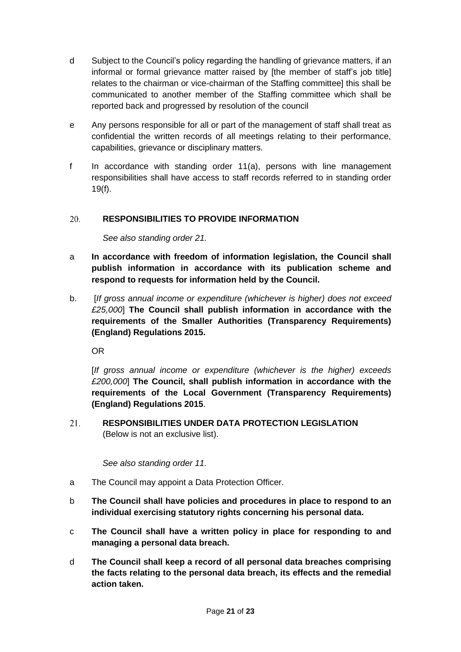- d Subject to the Council's policy regarding the handling of grievance matters, if an informal or formal grievance matter raised by [the member of staff's job title] relates to the chairman or vice-chairman of the Staffing committee] this shall be communicated to another member of the Staffing committee which shall be reported back and progressed by resolution of the council
- e Any persons responsible for all or part of the management of staff shall treat as confidential the written records of all meetings relating to their performance, capabilities, grievance or disciplinary matters.
- f In accordance with standing order 11(a), persons with line management responsibilities shall have access to staff records referred to in standing order 19(f).

#### <span id="page-20-0"></span>20. **RESPONSIBILITIES TO PROVIDE INFORMATION**

*See also standing order 21.*

- a **In accordance with freedom of information legislation, the Council shall publish information in accordance with its publication scheme and respond to requests for information held by the Council.**
- b. [*If gross annual income or expenditure (whichever is higher) does not exceed £25,000*] **The Council shall publish information in accordance with the requirements of the Smaller Authorities (Transparency Requirements) (England) Regulations 2015.**

OR

[*If gross annual income or expenditure (whichever is the higher) exceeds £200,000*] **The Council, shall publish information in accordance with the requirements of the Local Government (Transparency Requirements) (England) Regulations 2015**.

<span id="page-20-1"></span>21. **RESPONSIBILITIES UNDER DATA PROTECTION LEGISLATION**  (Below is not an exclusive list).

*See also standing order 11.*

- a The Council may appoint a Data Protection Officer.
- b **The Council shall have policies and procedures in place to respond to an individual exercising statutory rights concerning his personal data.**
- c **The Council shall have a written policy in place for responding to and managing a personal data breach.**
- d **The Council shall keep a record of all personal data breaches comprising the facts relating to the personal data breach, its effects and the remedial action taken.**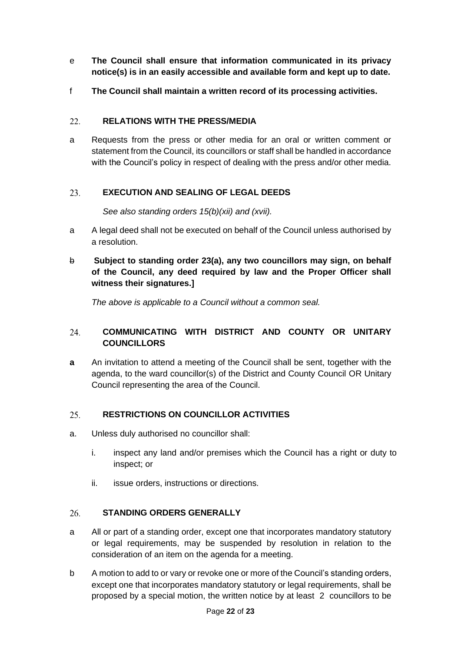- e **The Council shall ensure that information communicated in its privacy notice(s) is in an easily accessible and available form and kept up to date.**
- f **The Council shall maintain a written record of its processing activities.**

#### <span id="page-21-0"></span>22. **RELATIONS WITH THE PRESS/MEDIA**

a Requests from the press or other media for an oral or written comment or statement from the Council, its councillors or staff shall be handled in accordance with the Council's policy in respect of dealing with the press and/or other media.

#### <span id="page-21-1"></span>23. **EXECUTION AND SEALING OF LEGAL DEEDS**

*See also standing orders 15(b)(xii) and (xvii).*

- a A legal deed shall not be executed on behalf of the Council unless authorised by a resolution.
- b **Subject to standing order 23(a), any two councillors may sign, on behalf of the Council, any deed required by law and the Proper Officer shall witness their signatures.]**

<span id="page-21-2"></span>*The above is applicable to a Council without a common seal.*

## 24. **COMMUNICATING WITH DISTRICT AND COUNTY OR UNITARY COUNCILLORS**

**a** An invitation to attend a meeting of the Council shall be sent, together with the agenda, to the ward councillor(s) of the District and County Council OR Unitary Council representing the area of the Council.

#### <span id="page-21-3"></span> $25.$ **RESTRICTIONS ON COUNCILLOR ACTIVITIES**

- a. Unless duly authorised no councillor shall:
	- i. inspect any land and/or premises which the Council has a right or duty to inspect; or
	- ii. issue orders, instructions or directions.

#### <span id="page-21-4"></span>26. **STANDING ORDERS GENERALLY**

- a All or part of a standing order, except one that incorporates mandatory statutory or legal requirements, may be suspended by resolution in relation to the consideration of an item on the agenda for a meeting.
- b A motion to add to or vary or revoke one or more of the Council's standing orders, except one that incorporates mandatory statutory or legal requirements, shall be proposed by a special motion, the written notice by at least 2 councillors to be